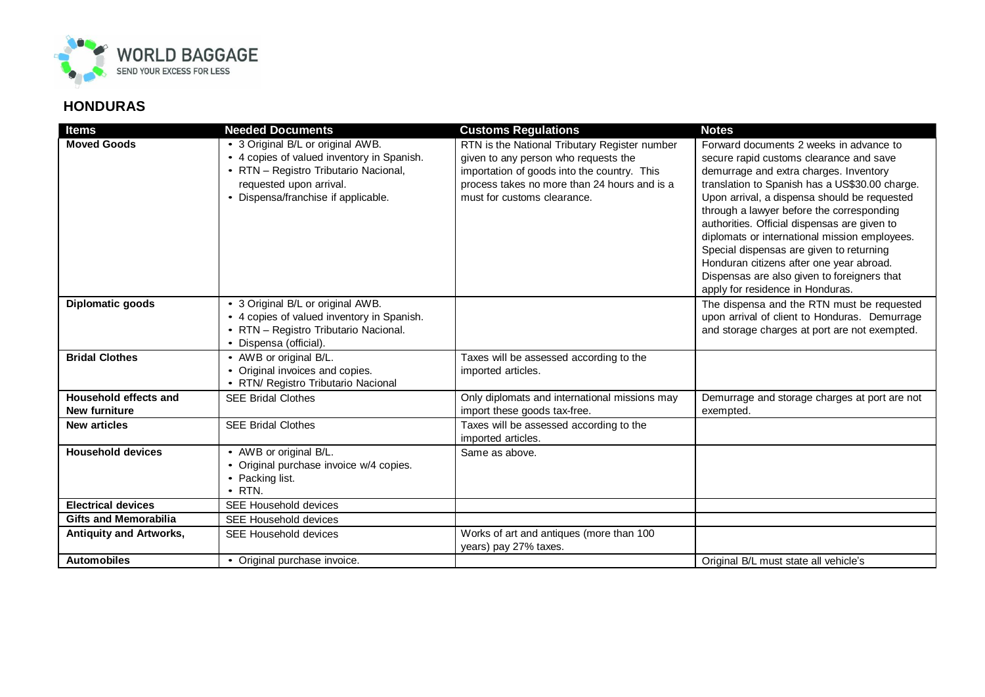

## **HONDURAS**

| <b>Items</b>                                  | <b>Needed Documents</b>                                                                                                                                                                    | <b>Customs Regulations</b>                                                                                                                                                                                          | <b>Notes</b>                                                                                                                                                                                                                                                                |
|-----------------------------------------------|--------------------------------------------------------------------------------------------------------------------------------------------------------------------------------------------|---------------------------------------------------------------------------------------------------------------------------------------------------------------------------------------------------------------------|-----------------------------------------------------------------------------------------------------------------------------------------------------------------------------------------------------------------------------------------------------------------------------|
| <b>Moved Goods</b>                            | • 3 Original B/L or original AWB.<br>• 4 copies of valued inventory in Spanish.<br>• RTN - Registro Tributario Nacional,<br>requested upon arrival.<br>• Dispensa/franchise if applicable. | RTN is the National Tributary Register number<br>given to any person who requests the<br>importation of goods into the country. This<br>process takes no more than 24 hours and is a<br>must for customs clearance. | Forward documents 2 weeks in advance to<br>secure rapid customs clearance and save<br>demurrage and extra charges. Inventory<br>translation to Spanish has a US\$30.00 charge.<br>Upon arrival, a dispensa should be requested<br>through a lawyer before the corresponding |
|                                               |                                                                                                                                                                                            |                                                                                                                                                                                                                     | authorities. Official dispensas are given to<br>diplomats or international mission employees.<br>Special dispensas are given to returning<br>Honduran citizens after one year abroad.<br>Dispensas are also given to foreigners that<br>apply for residence in Honduras.    |
| Diplomatic goods                              | • 3 Original B/L or original AWB.<br>• 4 copies of valued inventory in Spanish.<br>• RTN - Registro Tributario Nacional.<br>• Dispensa (official).                                         |                                                                                                                                                                                                                     | The dispensa and the RTN must be requested<br>upon arrival of client to Honduras. Demurrage<br>and storage charges at port are not exempted.                                                                                                                                |
| <b>Bridal Clothes</b>                         | • AWB or original B/L.<br>• Original invoices and copies.<br>• RTN/ Registro Tributario Nacional                                                                                           | Taxes will be assessed according to the<br>imported articles.                                                                                                                                                       |                                                                                                                                                                                                                                                                             |
| Household effects and<br><b>New furniture</b> | <b>SEE Bridal Clothes</b>                                                                                                                                                                  | Only diplomats and international missions may<br>import these goods tax-free.                                                                                                                                       | Demurrage and storage charges at port are not<br>exempted.                                                                                                                                                                                                                  |
| <b>New articles</b>                           | <b>SEE Bridal Clothes</b>                                                                                                                                                                  | Taxes will be assessed according to the<br>imported articles.                                                                                                                                                       |                                                                                                                                                                                                                                                                             |
| <b>Household devices</b>                      | • AWB or original B/L.<br>• Original purchase invoice w/4 copies.<br>• Packing list.<br>$\bullet$ RTN.                                                                                     | Same as above.                                                                                                                                                                                                      |                                                                                                                                                                                                                                                                             |
| <b>Electrical devices</b>                     | SEE Household devices                                                                                                                                                                      |                                                                                                                                                                                                                     |                                                                                                                                                                                                                                                                             |
| <b>Gifts and Memorabilia</b>                  | SEE Household devices                                                                                                                                                                      |                                                                                                                                                                                                                     |                                                                                                                                                                                                                                                                             |
| <b>Antiquity and Artworks,</b>                | SEE Household devices                                                                                                                                                                      | Works of art and antiques (more than 100<br>years) pay 27% taxes.                                                                                                                                                   |                                                                                                                                                                                                                                                                             |
| <b>Automobiles</b>                            | • Original purchase invoice.                                                                                                                                                               |                                                                                                                                                                                                                     | Original B/L must state all vehicle's                                                                                                                                                                                                                                       |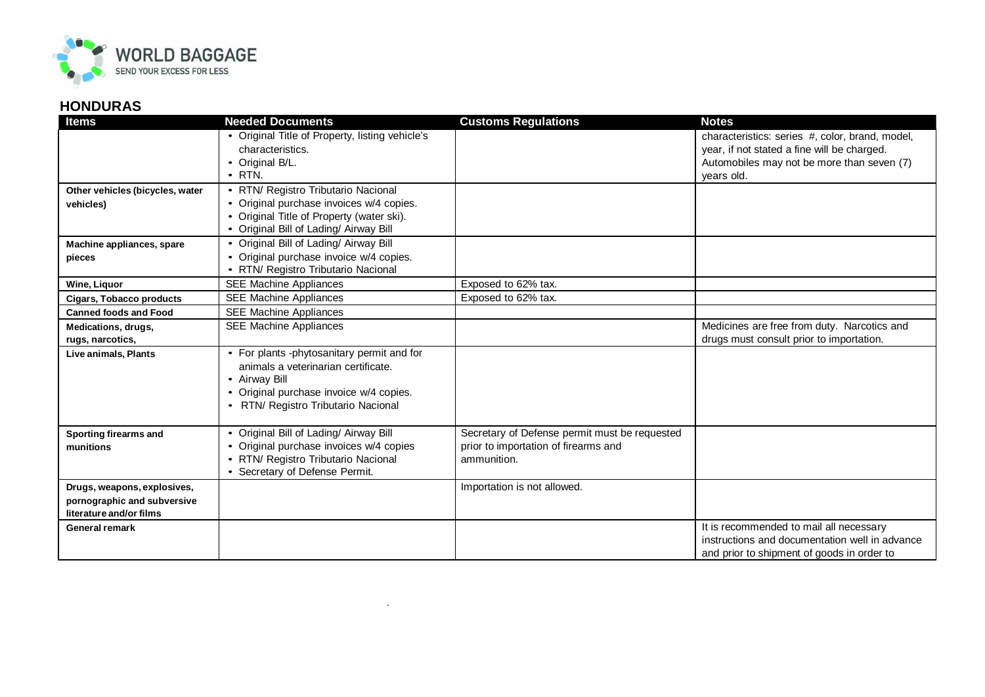

## **HONDURAS**

| <b>Items</b>                    | <b>Needed Documents</b>                         | <b>Customs Regulations</b>                    | <b>Notes</b>                                    |
|---------------------------------|-------------------------------------------------|-----------------------------------------------|-------------------------------------------------|
|                                 | • Original Title of Property, listing vehicle's |                                               | characteristics: series #, color, brand, model, |
|                                 | characteristics.                                |                                               | year, if not stated a fine will be charged.     |
|                                 | • Original B/L.                                 |                                               | Automobiles may not be more than seven (7)      |
|                                 | $\cdot$ RTN.                                    |                                               | vears old.                                      |
| Other vehicles (bicycles, water | • RTN/ Registro Tributario Nacional             |                                               |                                                 |
| vehicles)                       | • Original purchase invoices w/4 copies.        |                                               |                                                 |
|                                 | • Original Title of Property (water ski).       |                                               |                                                 |
|                                 | • Original Bill of Lading/ Airway Bill          |                                               |                                                 |
| Machine appliances, spare       | • Original Bill of Lading/ Airway Bill          |                                               |                                                 |
| pieces                          | • Original purchase invoice w/4 copies.         |                                               |                                                 |
|                                 | • RTN/ Registro Tributario Nacional             |                                               |                                                 |
| Wine, Liquor                    | <b>SEE Machine Appliances</b>                   | Exposed to 62% tax.                           |                                                 |
| <b>Cigars, Tobacco products</b> | <b>SEE Machine Appliances</b>                   | Exposed to 62% tax.                           |                                                 |
| <b>Canned foods and Food</b>    | <b>SEE Machine Appliances</b>                   |                                               |                                                 |
| Medications, drugs,             | <b>SEE Machine Appliances</b>                   |                                               | Medicines are free from duty. Narcotics and     |
| rugs, narcotics,                |                                                 |                                               | drugs must consult prior to importation.        |
| Live animals, Plants            | • For plants -phytosanitary permit and for      |                                               |                                                 |
|                                 | animals a veterinarian certificate.             |                                               |                                                 |
|                                 | • Airway Bill                                   |                                               |                                                 |
|                                 | • Original purchase invoice w/4 copies.         |                                               |                                                 |
|                                 | • RTN/ Registro Tributario Nacional             |                                               |                                                 |
|                                 |                                                 |                                               |                                                 |
| <b>Sporting firearms and</b>    | • Original Bill of Lading/ Airway Bill          | Secretary of Defense permit must be requested |                                                 |
| munitions                       | • Original purchase invoices w/4 copies         | prior to importation of firearms and          |                                                 |
|                                 | • RTN/ Registro Tributario Nacional             | ammunition.                                   |                                                 |
|                                 | • Secretary of Defense Permit.                  |                                               |                                                 |
| Drugs, weapons, explosives,     |                                                 | Importation is not allowed.                   |                                                 |
| pornographic and subversive     |                                                 |                                               |                                                 |
| literature and/or films         |                                                 |                                               |                                                 |
| General remark                  |                                                 |                                               | It is recommended to mail all necessary         |
|                                 |                                                 |                                               | instructions and documentation well in advance  |
|                                 |                                                 |                                               | and prior to shipment of goods in order to      |

.